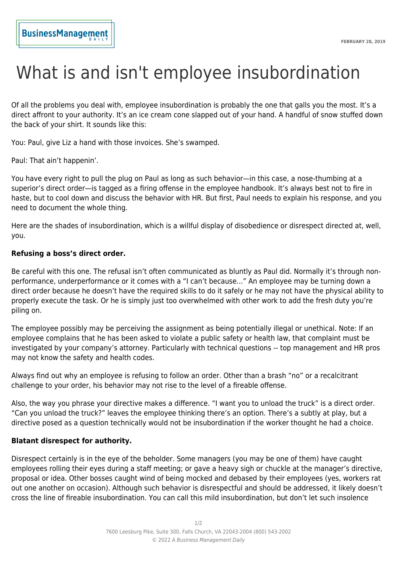# What is and isn't employee insubordination

Of all the problems you deal with, employee insubordination is probably the one that galls you the most. It's a direct affront to your authority. It's an ice cream cone slapped out of your hand. A handful of snow stuffed down the back of your shirt. It sounds like this:

You: Paul, give Liz a hand with those invoices. She's swamped.

Paul: That ain't happenin'.

You have every right to pull the plug on Paul as long as such behavior—in this case, a nose-thumbing at a superior's direct order—is tagged as a firing offense in the employee handbook. It's always best not to fire in haste, but to cool down and discuss the behavior with HR. But first, Paul needs to explain his response, and you need to document the whole thing.

Here are the shades of insubordination, which is a willful display of disobedience or disrespect directed at, well, you.

#### **Refusing a boss's direct order.**

Be careful with this one. The refusal isn't often communicated as bluntly as Paul did. Normally it's through nonperformance, underperformance or it comes with a "I can't because..." An employee may be turning down a direct order because he doesn't have the required skills to do it safely or he may not have the physical ability to properly execute the task. Or he is simply just too overwhelmed with other work to add the fresh duty you're piling on.

The employee possibly may be perceiving the assignment as being potentially illegal or unethical. Note: If an employee complains that he has been asked to violate a public safety or health law, that complaint must be investigated by your company's attorney. Particularly with technical questions -- top management and HR pros may not know the safety and health codes.

Always find out why an employee is refusing to follow an order. Other than a brash "no" or a recalcitrant challenge to your order, his behavior may not rise to the level of a fireable offense.

Also, the way you phrase your directive makes a difference. "I want you to unload the truck" is a direct order. "Can you unload the truck?" leaves the employee thinking there's an option. There's a subtly at play, but a directive posed as a question technically would not be insubordination if the worker thought he had a choice.

#### **Blatant disrespect for authority.**

Disrespect certainly is in the eye of the beholder. Some managers (you may be one of them) have caught employees rolling their eyes during a staff meeting; or gave a heavy sigh or chuckle at the manager's directive, proposal or idea. Other bosses caught wind of being mocked and debased by their employees (yes, workers rat out one another on occasion). Although such behavior is disrespectful and should be addressed, it likely doesn't cross the line of fireable insubordination. You can call this mild insubordination, but don't let such insolence